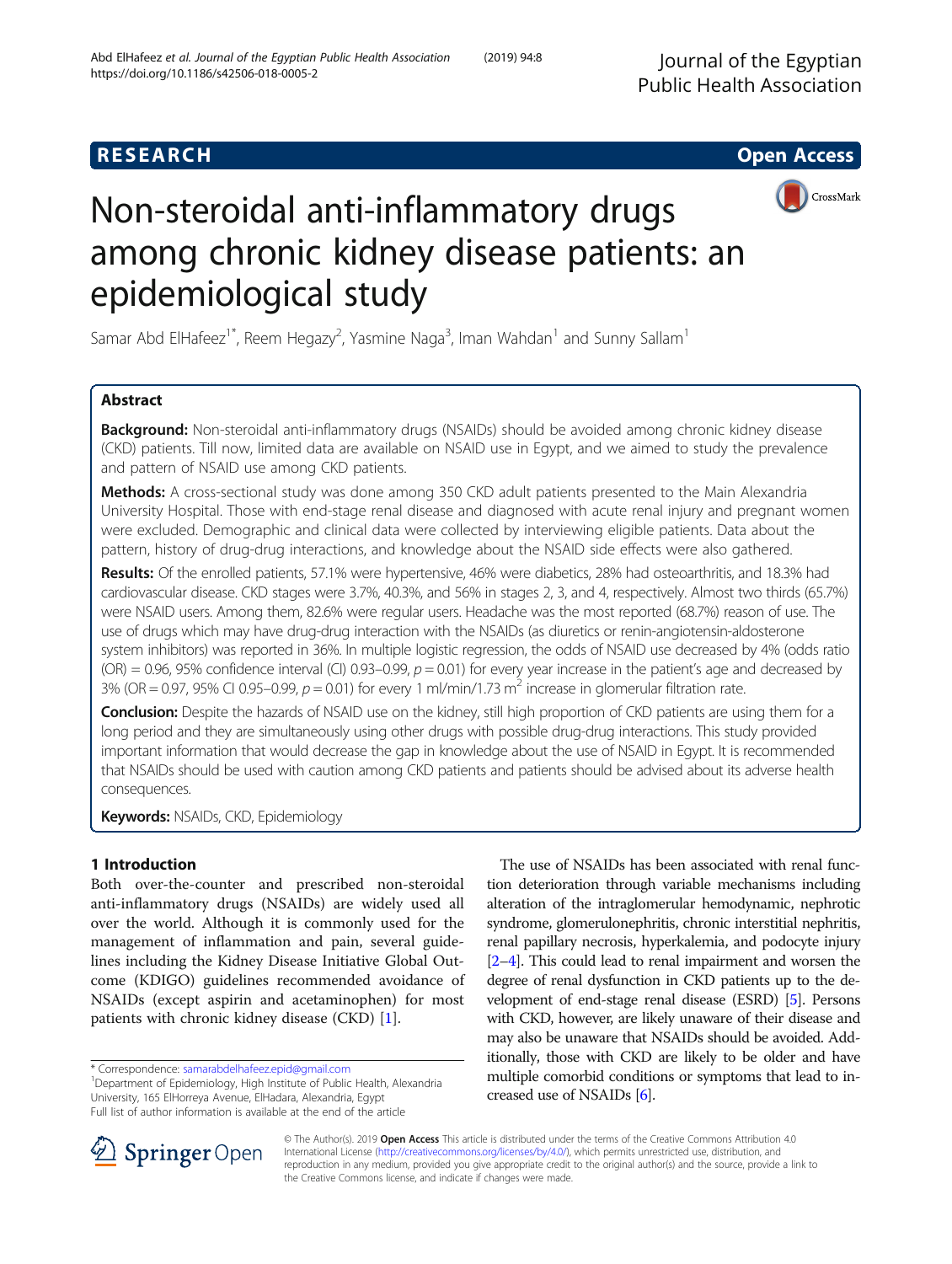# **RESEARCH CHE Open Access**



# Non-steroidal anti-inflammatory drugs among chronic kidney disease patients: an epidemiological study

Samar Abd ElHafeez<sup>1\*</sup>, Reem Hegazy<sup>2</sup>, Yasmine Naga<sup>3</sup>, Iman Wahdan<sup>1</sup> and Sunny Sallam<sup>1</sup>

# Abstract

**Background:** Non-steroidal anti-inflammatory drugs (NSAIDs) should be avoided among chronic kidney disease (CKD) patients. Till now, limited data are available on NSAID use in Egypt, and we aimed to study the prevalence and pattern of NSAID use among CKD patients.

Methods: A cross-sectional study was done among 350 CKD adult patients presented to the Main Alexandria University Hospital. Those with end-stage renal disease and diagnosed with acute renal injury and pregnant women were excluded. Demographic and clinical data were collected by interviewing eligible patients. Data about the pattern, history of drug-drug interactions, and knowledge about the NSAID side effects were also gathered.

Results: Of the enrolled patients, 57.1% were hypertensive, 46% were diabetics, 28% had osteoarthritis, and 18.3% had cardiovascular disease. CKD stages were 3.7%, 40.3%, and 56% in stages 2, 3, and 4, respectively. Almost two thirds (65.7%) were NSAID users. Among them, 82.6% were regular users. Headache was the most reported (68.7%) reason of use. The use of drugs which may have drug-drug interaction with the NSAIDs (as diuretics or renin-angiotensin-aldosterone system inhibitors) was reported in 36%. In multiple logistic regression, the odds of NSAID use decreased by 4% (odds ratio  $(OR) = 0.96$ , 95% confidence interval  $(Cl)$  0.93–0.99,  $p = 0.01$ ) for every year increase in the patient's age and decreased by 3% (OR = 0.97, 95% CI 0.95-0.99,  $p = 0.01$ ) for every 1 ml/min/1.73 m<sup>2</sup> increase in glomerular filtration rate.

**Conclusion:** Despite the hazards of NSAID use on the kidney, still high proportion of CKD patients are using them for a long period and they are simultaneously using other drugs with possible drug-drug interactions. This study provided important information that would decrease the gap in knowledge about the use of NSAID in Egypt. It is recommended that NSAIDs should be used with caution among CKD patients and patients should be advised about its adverse health consequences.

Keywords: NSAIDs, CKD, Epidemiology

# 1 Introduction

Both over-the-counter and prescribed non-steroidal anti-inflammatory drugs (NSAIDs) are widely used all over the world. Although it is commonly used for the management of inflammation and pain, several guidelines including the Kidney Disease Initiative Global Outcome (KDIGO) guidelines recommended avoidance of NSAIDs (except aspirin and acetaminophen) for most patients with chronic kidney disease (CKD) [[1\]](#page-7-0).

\* Correspondence: [samarabdelhafeez.epid@gmail.com](mailto:samarabdelhafeez.epid@gmail.com) <sup>1</sup>

<sup>1</sup>Department of Epidemiology, High Institute of Public Health, Alexandria University, 165 ElHorreya Avenue, ElHadara, Alexandria, Egypt Full list of author information is available at the end of the article

The use of NSAIDs has been associated with renal function deterioration through variable mechanisms including alteration of the intraglomerular hemodynamic, nephrotic syndrome, glomerulonephritis, chronic interstitial nephritis, renal papillary necrosis, hyperkalemia, and podocyte injury [[2](#page-7-0)–[4\]](#page-7-0). This could lead to renal impairment and worsen the degree of renal dysfunction in CKD patients up to the development of end-stage renal disease (ESRD) [\[5\]](#page-7-0). Persons with CKD, however, are likely unaware of their disease and may also be unaware that NSAIDs should be avoided. Additionally, those with CKD are likely to be older and have multiple comorbid conditions or symptoms that lead to increased use of NSAIDs [\[6](#page-7-0)].



© The Author(s). 2019 Open Access This article is distributed under the terms of the Creative Commons Attribution 4.0 International License ([http://creativecommons.org/licenses/by/4.0/\)](http://creativecommons.org/licenses/by/4.0/), which permits unrestricted use, distribution, and reproduction in any medium, provided you give appropriate credit to the original author(s) and the source, provide a link to the Creative Commons license, and indicate if changes were made.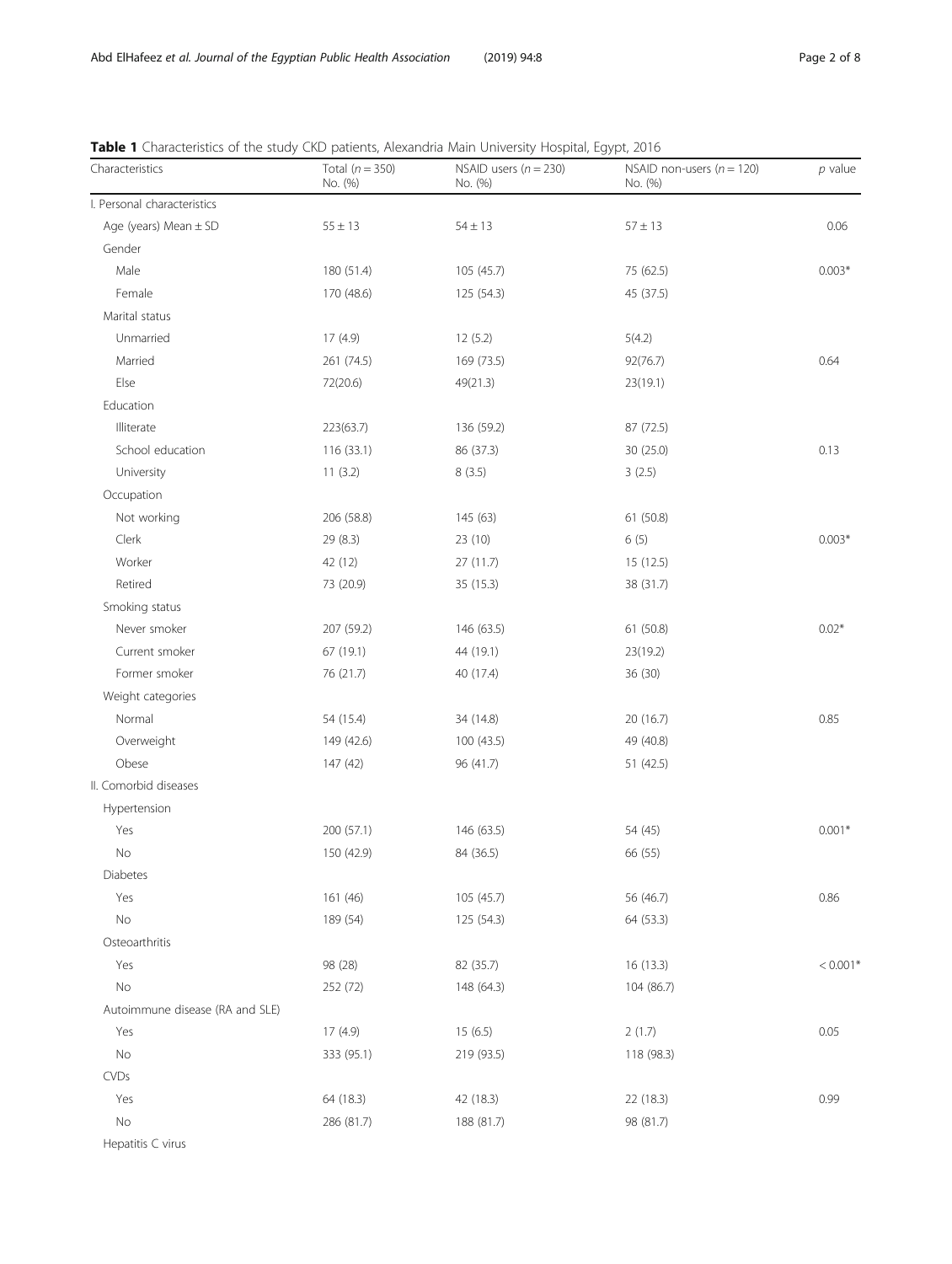| Characteristics                 | Total $(n = 350)$<br>No. (%) | end patients, nemana main crimersity nospital, egypt, eo i c<br>NSAID users $(n = 230)$<br>No. (%) | NSAID non-users ( $n = 120$ )<br>No. (%) | $p$ value  |
|---------------------------------|------------------------------|----------------------------------------------------------------------------------------------------|------------------------------------------|------------|
| I. Personal characteristics     |                              |                                                                                                    |                                          |            |
| Age (years) Mean $\pm$ SD       | $55 \pm 13$                  | $54 \pm 13$                                                                                        | $57 \pm 13$                              | 0.06       |
| Gender                          |                              |                                                                                                    |                                          |            |
| Male                            | 180 (51.4)                   | 105 (45.7)                                                                                         | 75 (62.5)                                | $0.003*$   |
| Female                          | 170 (48.6)                   | 125 (54.3)                                                                                         | 45 (37.5)                                |            |
| Marital status                  |                              |                                                                                                    |                                          |            |
| Unmarried                       | 17 (4.9)                     | 12(5.2)                                                                                            | 5(4.2)                                   |            |
| Married                         | 261 (74.5)                   | 169 (73.5)                                                                                         | 92(76.7)                                 | 0.64       |
| Else                            | 72(20.6)                     | 49(21.3)                                                                                           | 23(19.1)                                 |            |
| Education                       |                              |                                                                                                    |                                          |            |
| Illiterate                      | 223(63.7)                    | 136 (59.2)                                                                                         | 87 (72.5)                                |            |
| School education                | 116 (33.1)                   | 86 (37.3)                                                                                          | 30 (25.0)                                | 0.13       |
| University                      | 11(3.2)                      | 8(3.5)                                                                                             | 3(2.5)                                   |            |
| Occupation                      |                              |                                                                                                    |                                          |            |
| Not working                     | 206 (58.8)                   | 145 (63)                                                                                           | 61 (50.8)                                |            |
| Clerk                           | 29(8.3)                      | 23 (10)                                                                                            | 6(5)                                     | $0.003*$   |
| Worker                          | 42 (12)                      | 27(11.7)                                                                                           | 15 (12.5)                                |            |
| Retired                         | 73 (20.9)                    | 35 (15.3)                                                                                          | 38 (31.7)                                |            |
| Smoking status                  |                              |                                                                                                    |                                          |            |
| Never smoker                    | 207 (59.2)                   | 146 (63.5)                                                                                         | 61 (50.8)                                | $0.02*$    |
| Current smoker                  | 67 (19.1)                    | 44 (19.1)                                                                                          | 23(19.2)                                 |            |
| Former smoker                   | 76 (21.7)                    | 40 (17.4)                                                                                          | 36 (30)                                  |            |
| Weight categories               |                              |                                                                                                    |                                          |            |
| Normal                          | 54 (15.4)                    | 34 (14.8)                                                                                          | 20 (16.7)                                | 0.85       |
| Overweight                      | 149 (42.6)                   | 100 (43.5)                                                                                         | 49 (40.8)                                |            |
| Obese                           | 147(42)                      | 96 (41.7)                                                                                          | 51 (42.5)                                |            |
| II. Comorbid diseases           |                              |                                                                                                    |                                          |            |
| Hypertension                    |                              |                                                                                                    |                                          |            |
| Yes                             | 200 (57.1)                   | 146 (63.5)                                                                                         | 54 (45)                                  | $0.001*$   |
| No                              | 150 (42.9)                   | 84 (36.5)                                                                                          | 66 (55)                                  |            |
| Diabetes                        |                              |                                                                                                    |                                          |            |
| Yes                             | 161 (46)                     | 105 (45.7)                                                                                         | 56 (46.7)                                | 0.86       |
| No                              | 189 (54)                     | 125 (54.3)                                                                                         | 64 (53.3)                                |            |
| Osteoarthritis                  |                              |                                                                                                    |                                          |            |
| Yes                             | 98 (28)                      | 82 (35.7)                                                                                          | 16(13.3)                                 | $< 0.001*$ |
| No                              | 252 (72)                     | 148 (64.3)                                                                                         | 104 (86.7)                               |            |
| Autoimmune disease (RA and SLE) |                              |                                                                                                    |                                          |            |
| Yes                             | 17 (4.9)                     | 15(6.5)                                                                                            | 2(1.7)                                   | 0.05       |
| No                              | 333 (95.1)                   | 219 (93.5)                                                                                         | 118 (98.3)                               |            |
| <b>CVDs</b>                     |                              |                                                                                                    |                                          |            |
| Yes                             | 64 (18.3)                    | 42 (18.3)                                                                                          | 22 (18.3)                                | 0.99       |
| No                              | 286 (81.7)                   | 188 (81.7)                                                                                         | 98 (81.7)                                |            |

<span id="page-1-0"></span>Table 1 Characteristics of the study CKD patients, Alexandria Main University Hospital, Egypt, 2016

Hepatitis C virus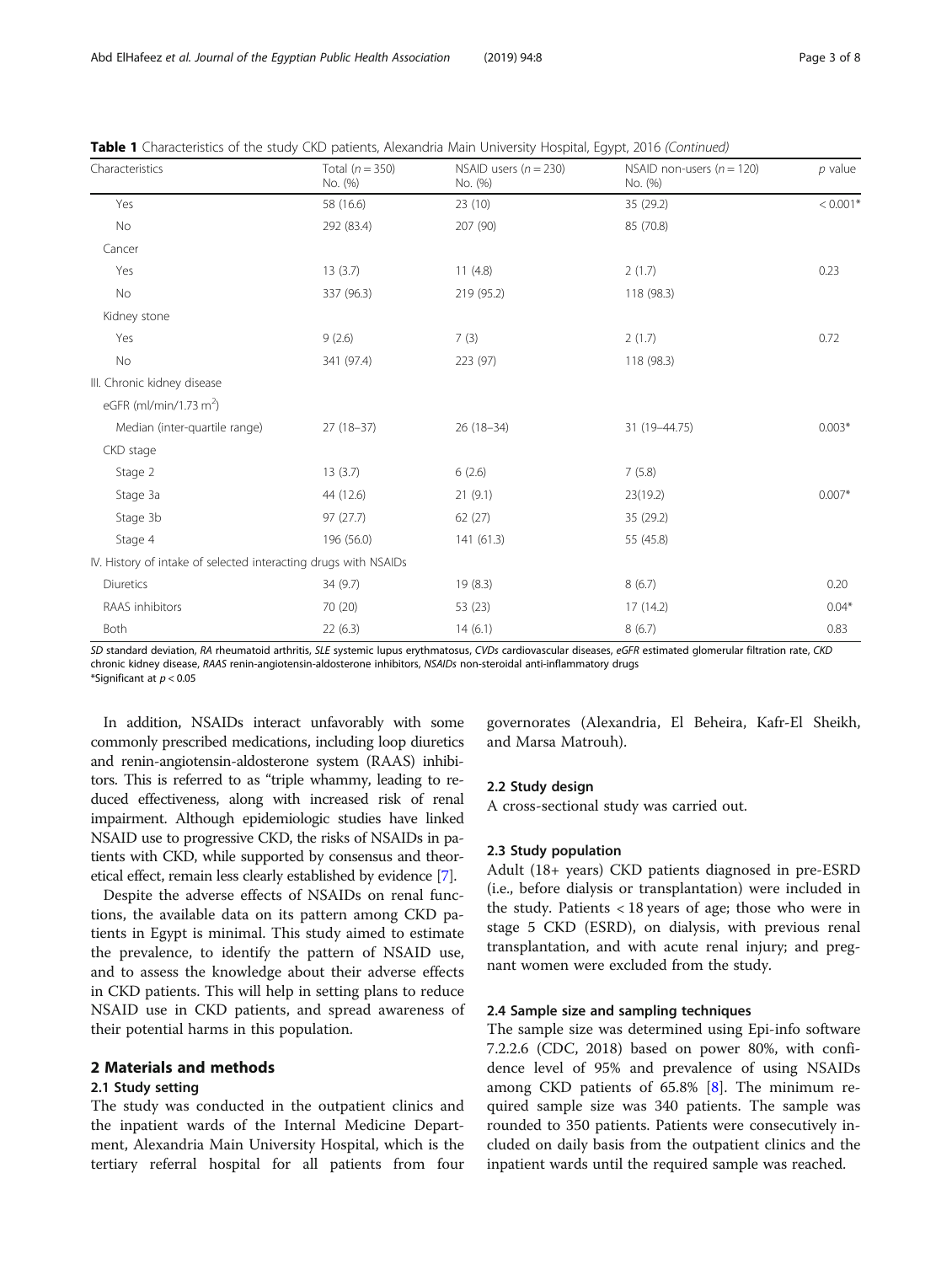| Characteristics                                                 | Total $(n = 350)$<br>No. (%) | NSAID users $(n = 230)$<br>No. (%) | NSAID non-users ( $n = 120$ )<br>No. (%) | $p$ value  |
|-----------------------------------------------------------------|------------------------------|------------------------------------|------------------------------------------|------------|
| Yes                                                             | 58 (16.6)                    | 23 (10)                            | 35 (29.2)                                | $< 0.001*$ |
| No                                                              | 292 (83.4)                   | 207 (90)                           | 85 (70.8)                                |            |
| Cancer                                                          |                              |                                    |                                          |            |
| Yes                                                             | 13(3.7)                      | 11(4.8)                            | 2(1.7)                                   | 0.23       |
| No                                                              | 337 (96.3)                   | 219 (95.2)                         | 118 (98.3)                               |            |
| Kidney stone                                                    |                              |                                    |                                          |            |
| Yes                                                             | 9(2.6)                       | 7(3)                               | 2(1.7)                                   | 0.72       |
| No                                                              | 341 (97.4)                   | 223 (97)                           | 118 (98.3)                               |            |
| III. Chronic kidney disease                                     |                              |                                    |                                          |            |
| eGFR (ml/min/1.73 m <sup>2</sup> )                              |                              |                                    |                                          |            |
| Median (inter-quartile range)                                   | $27(18-37)$                  | $26(18-34)$                        | 31 (19-44.75)                            | $0.003*$   |
| CKD stage                                                       |                              |                                    |                                          |            |
| Stage 2                                                         | 13(3.7)                      | 6(2.6)                             | 7(5.8)                                   |            |
| Stage 3a                                                        | 44 (12.6)                    | 21(9.1)                            | 23(19.2)                                 | $0.007*$   |
| Stage 3b                                                        | 97(27.7)                     | 62(27)                             | 35 (29.2)                                |            |
| Stage 4                                                         | 196 (56.0)                   | 141(61.3)                          | 55 (45.8)                                |            |
| IV. History of intake of selected interacting drugs with NSAIDs |                              |                                    |                                          |            |
| Diuretics                                                       | 34 (9.7)                     | 19(8.3)                            | 8(6.7)                                   | 0.20       |
| RAAS inhibitors                                                 | 70 (20)                      | 53 (23)                            | 17 (14.2)                                | $0.04*$    |
| Both                                                            | 22(6.3)                      | 14(6.1)                            | 8(6.7)                                   | 0.83       |

Table 1 Characteristics of the study CKD patients, Alexandria Main University Hospital, Egypt, 2016 (Continued)

SD standard deviation, RA rheumatoid arthritis, SLE systemic lupus erythmatosus, CVDs cardiovascular diseases, eGFR estimated glomerular filtration rate, CKD chronic kidney disease, RAAS renin-angiotensin-aldosterone inhibitors, NSAIDs non-steroidal anti-inflammatory drugs \*Significant at p < 0.05

In addition, NSAIDs interact unfavorably with some commonly prescribed medications, including loop diuretics and renin-angiotensin-aldosterone system (RAAS) inhibitors. This is referred to as "triple whammy, leading to reduced effectiveness, along with increased risk of renal impairment. Although epidemiologic studies have linked NSAID use to progressive CKD, the risks of NSAIDs in patients with CKD, while supported by consensus and theoretical effect, remain less clearly established by evidence [\[7\]](#page-7-0).

Despite the adverse effects of NSAIDs on renal functions, the available data on its pattern among CKD patients in Egypt is minimal. This study aimed to estimate the prevalence, to identify the pattern of NSAID use, and to assess the knowledge about their adverse effects in CKD patients. This will help in setting plans to reduce NSAID use in CKD patients, and spread awareness of their potential harms in this population.

#### 2 Materials and methods

#### 2.1 Study setting

The study was conducted in the outpatient clinics and the inpatient wards of the Internal Medicine Department, Alexandria Main University Hospital, which is the tertiary referral hospital for all patients from four

governorates (Alexandria, El Beheira, Kafr-El Sheikh, and Marsa Matrouh).

#### 2.2 Study design

A cross-sectional study was carried out.

#### 2.3 Study population

Adult (18+ years) CKD patients diagnosed in pre-ESRD (i.e., before dialysis or transplantation) were included in the study. Patients < 18 years of age; those who were in stage 5 CKD (ESRD), on dialysis, with previous renal transplantation, and with acute renal injury; and pregnant women were excluded from the study.

#### 2.4 Sample size and sampling techniques

The sample size was determined using Epi-info software 7.2.2.6 (CDC, 2018) based on power 80%, with confidence level of 95% and prevalence of using NSAIDs among CKD patients of 65.8% [\[8\]](#page-7-0). The minimum required sample size was 340 patients. The sample was rounded to 350 patients. Patients were consecutively included on daily basis from the outpatient clinics and the inpatient wards until the required sample was reached.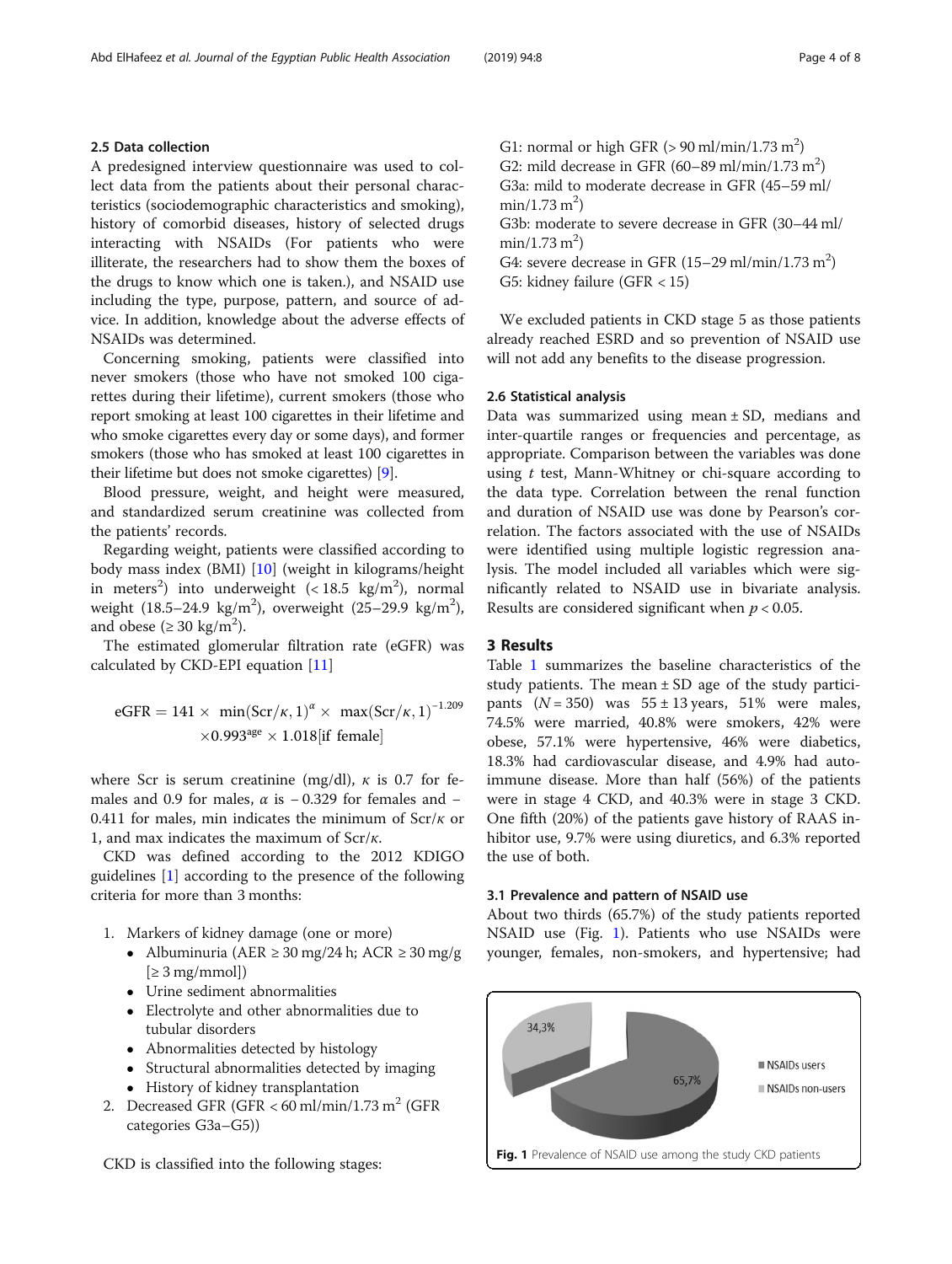#### 2.5 Data collection

A predesigned interview questionnaire was used to collect data from the patients about their personal characteristics (sociodemographic characteristics and smoking), history of comorbid diseases, history of selected drugs interacting with NSAIDs (For patients who were illiterate, the researchers had to show them the boxes of the drugs to know which one is taken.), and NSAID use including the type, purpose, pattern, and source of advice. In addition, knowledge about the adverse effects of NSAIDs was determined.

Concerning smoking, patients were classified into never smokers (those who have not smoked 100 cigarettes during their lifetime), current smokers (those who report smoking at least 100 cigarettes in their lifetime and who smoke cigarettes every day or some days), and former smokers (those who has smoked at least 100 cigarettes in their lifetime but does not smoke cigarettes) [[9\]](#page-7-0).

Blood pressure, weight, and height were measured, and standardized serum creatinine was collected from the patients' records.

Regarding weight, patients were classified according to body mass index (BMI) [\[10](#page-7-0)] (weight in kilograms/height in meters<sup>2</sup>) into underweight (<18.5 kg/m<sup>2</sup>), normal weight  $(18.5-24.9 \text{ kg/m}^2)$ , overweight  $(25-29.9 \text{ kg/m}^2)$ , and obese ( $\geq 30 \text{ kg/m}^2$ ).

The estimated glomerular filtration rate (eGFR) was calculated by CKD-EPI equation [[11\]](#page-7-0)

eGFR = 141 × min(Scr/
$$
\kappa
$$
, 1) <sup>$\alpha$</sup>  × max(Scr/ $\kappa$ , 1)<sup>-1.209</sup>  
×0.993<sup>age</sup> × 1.018[if female]

where Scr is serum creatinine (mg/dl),  $\kappa$  is 0.7 for females and 0.9 for males,  $\alpha$  is − 0.329 for females and − 0.411 for males, min indicates the minimum of  $Scr/\kappa$  or 1, and max indicates the maximum of  $\text{Scr}/\kappa$ .

CKD was defined according to the 2012 KDIGO guidelines [\[1\]](#page-7-0) according to the presence of the following criteria for more than 3 months:

- 1. Markers of kidney damage (one or more)
	- Albuminuria (AER ≥ 30 mg/24 h; ACR ≥ 30 mg/g  $[\geq 3$  mg/mmol])
	- Urine sediment abnormalities
	- Electrolyte and other abnormalities due to tubular disorders
	- Abnormalities detected by histology
	- Structural abnormalities detected by imaging
	- History of kidney transplantation
- 2. Decreased GFR (GFR <  $60$  ml/min/1.73 m<sup>2</sup> (GFR categories G3a–G5))

CKD is classified into the following stages:

G1: normal or high GFR  $(>90 \text{ ml/min}/1.73 \text{ m}^2)$ G2: mild decrease in GFR  $(60-89 \text{ ml/min}/1.73 \text{ m}^2)$ G3a: mild to moderate decrease in GFR (45–59 ml/  $min/1.73 m<sup>2</sup>$ ) G3b: moderate to severe decrease in GFR (30–44 ml/  $min/1.73 m<sup>2</sup>$ ) G4: severe decrease in GFR  $(15-29 \text{ ml/min}/1.73 \text{ m}^2)$ G5: kidney failure (GFR < 15)

We excluded patients in CKD stage 5 as those patients already reached ESRD and so prevention of NSAID use will not add any benefits to the disease progression.

#### 2.6 Statistical analysis

Data was summarized using mean  $\pm$  SD, medians and inter-quartile ranges or frequencies and percentage, as appropriate. Comparison between the variables was done using  $t$  test, Mann-Whitney or chi-square according to the data type. Correlation between the renal function and duration of NSAID use was done by Pearson's correlation. The factors associated with the use of NSAIDs were identified using multiple logistic regression analysis. The model included all variables which were significantly related to NSAID use in bivariate analysis. Results are considered significant when  $p < 0.05$ .

#### 3 Results

Table [1](#page-1-0) summarizes the baseline characteristics of the study patients. The mean  $\pm$  SD age of the study participants  $(N = 350)$  was  $55 \pm 13$  years, 51% were males, 74.5% were married, 40.8% were smokers, 42% were obese, 57.1% were hypertensive, 46% were diabetics, 18.3% had cardiovascular disease, and 4.9% had autoimmune disease. More than half (56%) of the patients were in stage 4 CKD, and 40.3% were in stage 3 CKD. One fifth (20%) of the patients gave history of RAAS inhibitor use, 9.7% were using diuretics, and 6.3% reported the use of both.

#### 3.1 Prevalence and pattern of NSAID use

About two thirds (65.7%) of the study patients reported NSAID use (Fig. 1). Patients who use NSAIDs were younger, females, non-smokers, and hypertensive; had

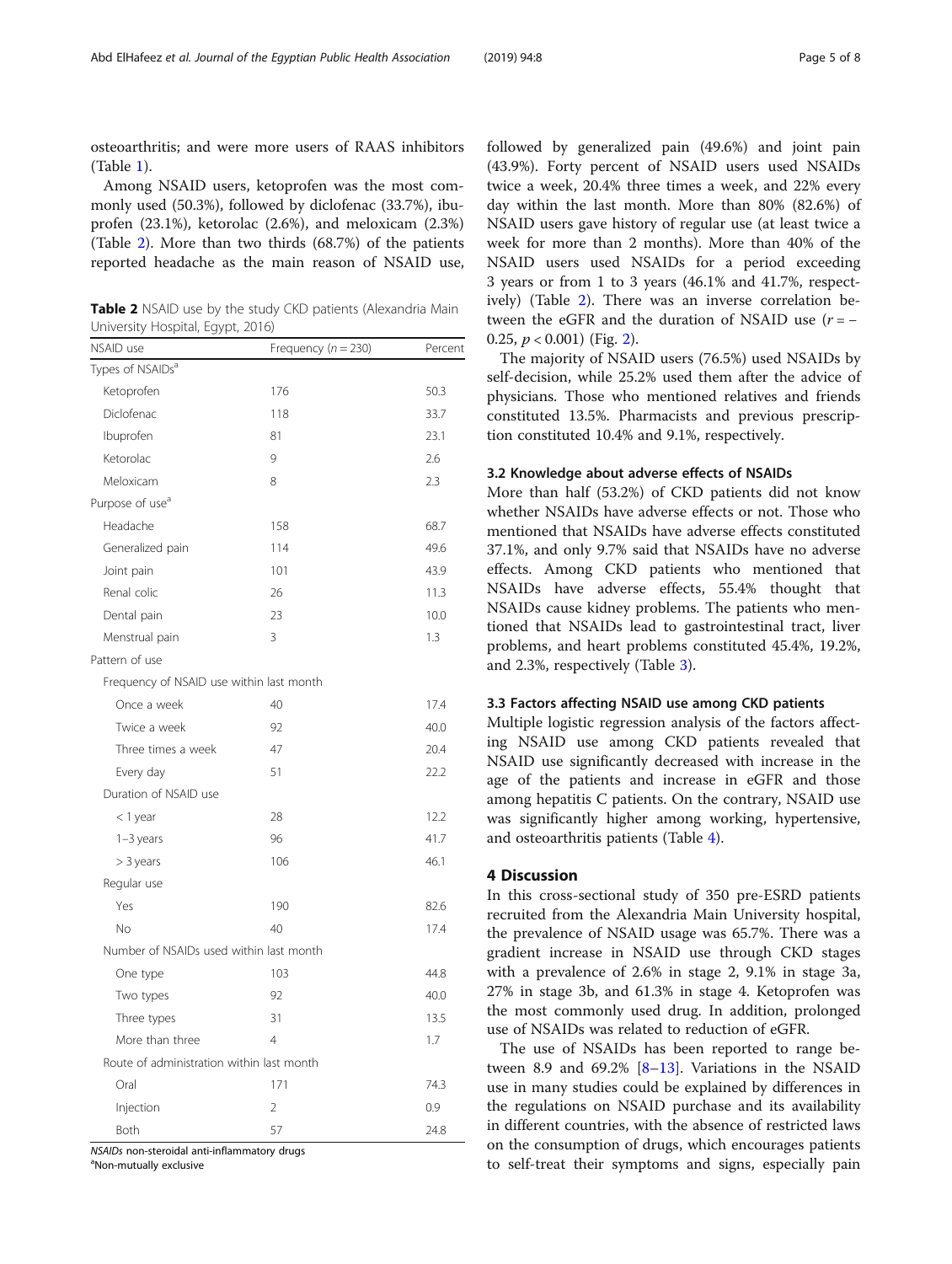osteoarthritis; and were more users of RAAS inhibitors (Table [1\)](#page-1-0).

Among NSAID users, ketoprofen was the most commonly used (50.3%), followed by diclofenac (33.7%), ibuprofen (23.1%), ketorolac (2.6%), and meloxicam (2.3%) (Table 2). More than two thirds (68.7%) of the patients reported headache as the main reason of NSAID use,

Table 2 NSAID use by the study CKD patients (Alexandria Main University Hospital, Egypt, 2016)

| NSAID use                                 | Frequency ( $n = 230$ ) | Percent |
|-------------------------------------------|-------------------------|---------|
| Types of NSAIDs <sup>a</sup>              |                         |         |
| Ketoprofen                                | 176                     | 50.3    |
| Diclofenac                                | 118                     | 33.7    |
| Ibuprofen                                 | 81                      | 23.1    |
| Ketorolac                                 | 9                       | 2.6     |
| Meloxicam                                 | 8                       | 2.3     |
| Purpose of use <sup>a</sup>               |                         |         |
| Headache                                  | 158                     | 68.7    |
| Generalized pain                          | 114                     | 49.6    |
| Joint pain                                | 101                     | 43.9    |
| Renal colic                               | 26                      | 11.3    |
| Dental pain                               | 23                      | 10.0    |
| Menstrual pain                            | 3                       | 1.3     |
| Pattern of use                            |                         |         |
| Frequency of NSAID use within last month  |                         |         |
| Once a week                               | 40                      | 17.4    |
| Twice a week                              | 92                      | 40.0    |
| Three times a week                        | 47                      | 20.4    |
| Every day                                 | 51                      | 22.2    |
| Duration of NSAID use                     |                         |         |
| < 1 year                                  | 28                      | 12.2    |
| $1-3$ years                               | 96                      | 41.7    |
| > 3 years                                 | 106                     | 46.1    |
| Regular use                               |                         |         |
| Yes                                       | 190                     | 82.6    |
| No                                        | 40                      | 17.4    |
| Number of NSAIDs used within last month   |                         |         |
| One type                                  | 103                     | 44.8    |
| Two types                                 | 92                      | 40.0    |
| Three types                               | 31                      | 13.5    |
| More than three                           | $\overline{4}$          | 1.7     |
| Route of administration within last month |                         |         |
| Oral                                      | 171                     | 74.3    |
| Injection                                 | $\overline{2}$          | 0.9     |
| <b>Both</b>                               | 57                      | 24.8    |

NSAIDs non-steroidal anti-inflammatory drugs

Non-mutually exclusive

followed by generalized pain (49.6%) and joint pain (43.9%). Forty percent of NSAID users used NSAIDs twice a week, 20.4% three times a week, and 22% every day within the last month. More than 80% (82.6%) of NSAID users gave history of regular use (at least twice a week for more than 2 months). More than 40% of the NSAID users used NSAIDs for a period exceeding 3 years or from 1 to 3 years (46.1% and 41.7%, respectively) (Table 2). There was an inverse correlation between the eGFR and the duration of NSAID use  $(r = -1)$ 0.[2](#page-5-0)5,  $p < 0.001$ ) (Fig. 2).

The majority of NSAID users (76.5%) used NSAIDs by self-decision, while 25.2% used them after the advice of physicians. Those who mentioned relatives and friends constituted 13.5%. Pharmacists and previous prescription constituted 10.4% and 9.1%, respectively.

#### 3.2 Knowledge about adverse effects of NSAIDs

More than half (53.2%) of CKD patients did not know whether NSAIDs have adverse effects or not. Those who mentioned that NSAIDs have adverse effects constituted 37.1%, and only 9.7% said that NSAIDs have no adverse effects. Among CKD patients who mentioned that NSAIDs have adverse effects, 55.4% thought that NSAIDs cause kidney problems. The patients who mentioned that NSAIDs lead to gastrointestinal tract, liver problems, and heart problems constituted 45.4%, 19.2%, and 2.3%, respectively (Table [3](#page-5-0)).

#### 3.3 Factors affecting NSAID use among CKD patients

Multiple logistic regression analysis of the factors affecting NSAID use among CKD patients revealed that NSAID use significantly decreased with increase in the age of the patients and increase in eGFR and those among hepatitis C patients. On the contrary, NSAID use was significantly higher among working, hypertensive, and osteoarthritis patients (Table [4\)](#page-6-0).

#### 4 Discussion

In this cross-sectional study of 350 pre-ESRD patients recruited from the Alexandria Main University hospital, the prevalence of NSAID usage was 65.7%. There was a gradient increase in NSAID use through CKD stages with a prevalence of 2.6% in stage 2, 9.1% in stage 3a, 27% in stage 3b, and 61.3% in stage 4. Ketoprofen was the most commonly used drug. In addition, prolonged use of NSAIDs was related to reduction of eGFR.

The use of NSAIDs has been reported to range be-tween [8](#page-7-0).9 and 69.2%  $[8-13]$  $[8-13]$  $[8-13]$ . Variations in the NSAID use in many studies could be explained by differences in the regulations on NSAID purchase and its availability in different countries, with the absence of restricted laws on the consumption of drugs, which encourages patients to self-treat their symptoms and signs, especially pain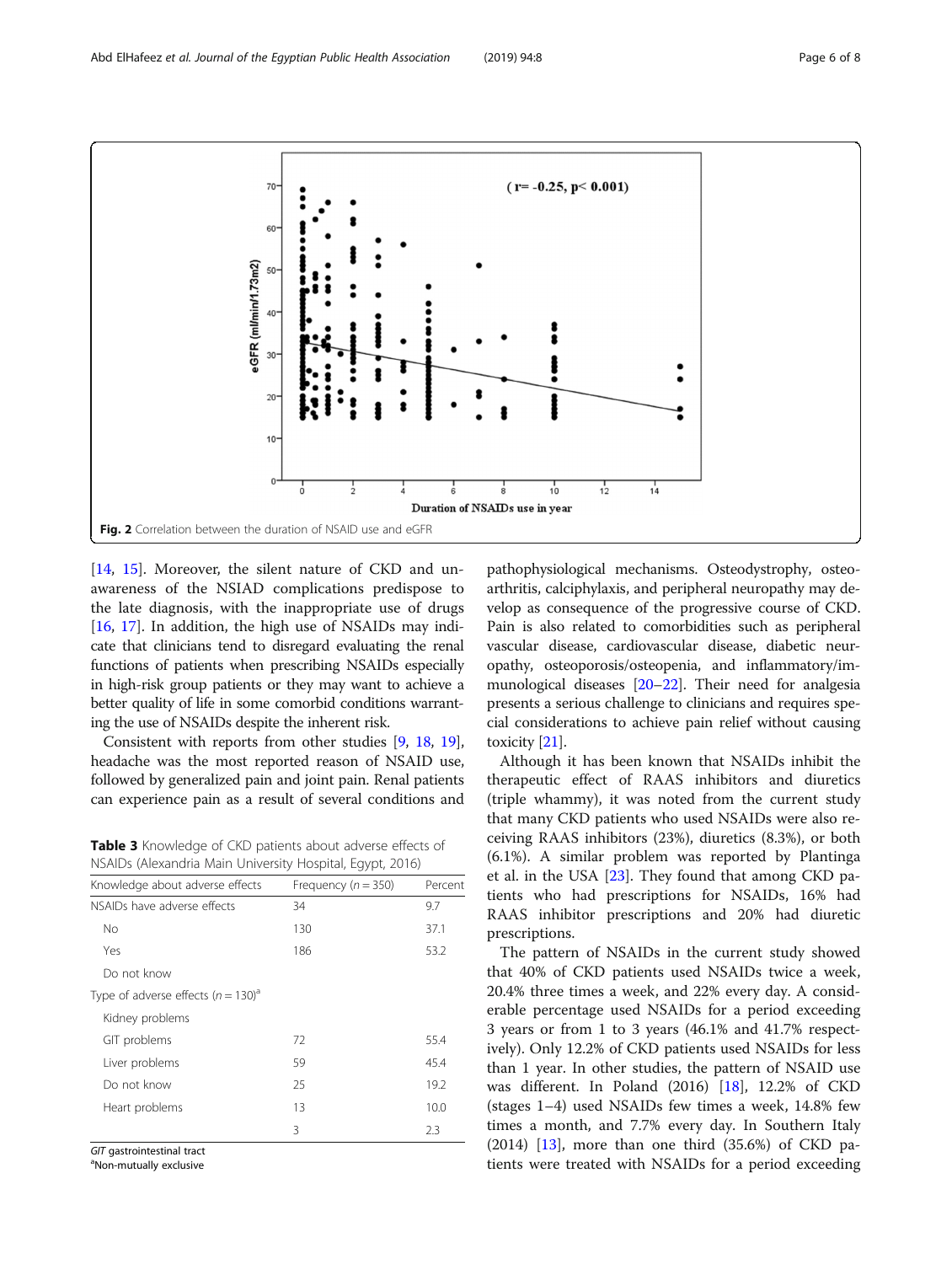[[14,](#page-7-0) [15](#page-7-0)]. Moreover, the silent nature of CKD and unawareness of the NSIAD complications predispose to the late diagnosis, with the inappropriate use of drugs [[16,](#page-7-0) [17](#page-7-0)]. In addition, the high use of NSAIDs may indicate that clinicians tend to disregard evaluating the renal functions of patients when prescribing NSAIDs especially in high-risk group patients or they may want to achieve a better quality of life in some comorbid conditions warranting the use of NSAIDs despite the inherent risk.

Consistent with reports from other studies [\[9,](#page-7-0) [18,](#page-7-0) [19](#page-7-0)], headache was the most reported reason of NSAID use, followed by generalized pain and joint pain. Renal patients can experience pain as a result of several conditions and

Table 3 Knowledge of CKD patients about adverse effects of NSAIDs (Alexandria Main University Hospital, Egypt, 2016)

|                                                    | 11111                   |         |
|----------------------------------------------------|-------------------------|---------|
| Knowledge about adverse effects                    | Frequency ( $n = 350$ ) | Percent |
| NSAIDs have adverse effects                        | 34                      | 9.7     |
| No                                                 | 130                     | 37.1    |
| Yes                                                | 186                     | 53.2    |
| Do not know                                        |                         |         |
| Type of adverse effects ( $n = 130$ ) <sup>a</sup> |                         |         |
| Kidney problems                                    |                         |         |
| GIT problems                                       | 72                      | 55.4    |
| Liver problems                                     | 59                      | 45.4    |
| Do not know                                        | 25                      | 19.2    |
| Heart problems                                     | 13                      | 10.0    |
|                                                    | 3                       | 2.3     |
|                                                    |                         |         |

GIT gastrointestinal tract

Non-mutually exclusive

pathophysiological mechanisms. Osteodystrophy, osteoarthritis, calciphylaxis, and peripheral neuropathy may develop as consequence of the progressive course of CKD. Pain is also related to comorbidities such as peripheral vascular disease, cardiovascular disease, diabetic neuropathy, osteoporosis/osteopenia, and inflammatory/immunological diseases [\[20](#page-7-0)–[22](#page-7-0)]. Their need for analgesia presents a serious challenge to clinicians and requires special considerations to achieve pain relief without causing toxicity [[21\]](#page-7-0).

Although it has been known that NSAIDs inhibit the therapeutic effect of RAAS inhibitors and diuretics (triple whammy), it was noted from the current study that many CKD patients who used NSAIDs were also receiving RAAS inhibitors (23%), diuretics (8.3%), or both (6.1%). A similar problem was reported by Plantinga et al. in the USA [\[23](#page-7-0)]. They found that among CKD patients who had prescriptions for NSAIDs, 16% had RAAS inhibitor prescriptions and 20% had diuretic prescriptions.

The pattern of NSAIDs in the current study showed that 40% of CKD patients used NSAIDs twice a week, 20.4% three times a week, and 22% every day. A considerable percentage used NSAIDs for a period exceeding 3 years or from 1 to 3 years (46.1% and 41.7% respectively). Only 12.2% of CKD patients used NSAIDs for less than 1 year. In other studies, the pattern of NSAID use was different. In Poland (2016) [\[18\]](#page-7-0), 12.2% of CKD (stages 1–4) used NSAIDs few times a week, 14.8% few times a month, and 7.7% every day. In Southern Italy  $(2014)$  [[13](#page-7-0)], more than one third  $(35.6%)$  of CKD patients were treated with NSAIDs for a period exceeding

<span id="page-5-0"></span>

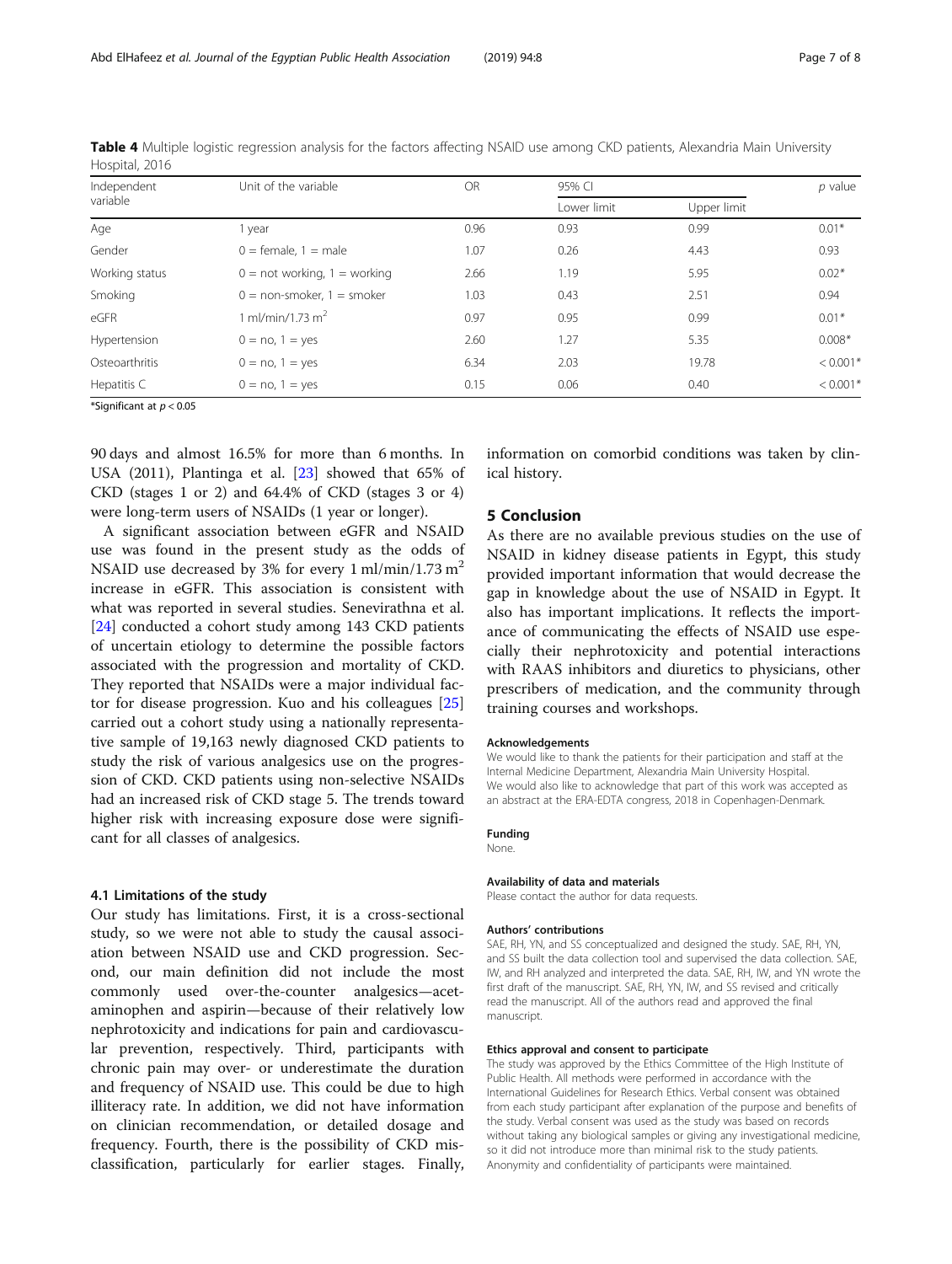90 days and almost 16.5% for more than 6 months. In USA (2011), Plantinga et al. [[23](#page-7-0)] showed that 65% of CKD (stages 1 or 2) and 64.4% of CKD (stages 3 or 4) were long-term users of NSAIDs (1 year or longer).

A significant association between eGFR and NSAID use was found in the present study as the odds of NSAID use decreased by 3% for every  $1 \text{ ml/min}/1.73 \text{ m}^2$ increase in eGFR. This association is consistent with what was reported in several studies. Senevirathna et al. [[24\]](#page-7-0) conducted a cohort study among 143 CKD patients of uncertain etiology to determine the possible factors associated with the progression and mortality of CKD. They reported that NSAIDs were a major individual factor for disease progression. Kuo and his colleagues [[25](#page-7-0)] carried out a cohort study using a nationally representative sample of 19,163 newly diagnosed CKD patients to study the risk of various analgesics use on the progression of CKD. CKD patients using non-selective NSAIDs had an increased risk of CKD stage 5. The trends toward higher risk with increasing exposure dose were significant for all classes of analgesics.

#### 4.1 Limitations of the study

Our study has limitations. First, it is a cross-sectional study, so we were not able to study the causal association between NSAID use and CKD progression. Second, our main definition did not include the most commonly used over-the-counter analgesics—acetaminophen and aspirin—because of their relatively low nephrotoxicity and indications for pain and cardiovascular prevention, respectively. Third, participants with chronic pain may over- or underestimate the duration and frequency of NSAID use. This could be due to high illiteracy rate. In addition, we did not have information on clinician recommendation, or detailed dosage and frequency. Fourth, there is the possibility of CKD misclassification, particularly for earlier stages. Finally,

information on comorbid conditions was taken by clinical history.

### 5 Conclusion

As there are no available previous studies on the use of NSAID in kidney disease patients in Egypt, this study provided important information that would decrease the gap in knowledge about the use of NSAID in Egypt. It also has important implications. It reflects the importance of communicating the effects of NSAID use especially their nephrotoxicity and potential interactions with RAAS inhibitors and diuretics to physicians, other prescribers of medication, and the community through training courses and workshops.

#### Acknowledgements

We would like to thank the patients for their participation and staff at the Internal Medicine Department, Alexandria Main University Hospital. We would also like to acknowledge that part of this work was accepted as an abstract at the ERA-EDTA congress, 2018 in Copenhagen-Denmark.

#### Funding None.

#### Availability of data and materials

Please contact the author for data requests.

#### Authors' contributions

SAE, RH, YN, and SS conceptualized and designed the study. SAE, RH, YN, and SS built the data collection tool and supervised the data collection. SAE, IW, and RH analyzed and interpreted the data. SAE, RH, IW, and YN wrote the first draft of the manuscript. SAE, RH, YN, IW, and SS revised and critically read the manuscript. All of the authors read and approved the final manuscript.

#### Ethics approval and consent to participate

The study was approved by the Ethics Committee of the High Institute of Public Health. All methods were performed in accordance with the International Guidelines for Research Ethics. Verbal consent was obtained from each study participant after explanation of the purpose and benefits of the study. Verbal consent was used as the study was based on records without taking any biological samples or giving any investigational medicine, so it did not introduce more than minimal risk to the study patients. Anonymity and confidentiality of participants were maintained.

<span id="page-6-0"></span>Table 4 Multiple logistic regression analysis for the factors affecting NSAID use among CKD patients, Alexandria Main University Hospital, 2016

| Independent<br>variable    | Unit of the variable           | <b>OR</b> | 95% CI      |             | $p$ value  |
|----------------------------|--------------------------------|-----------|-------------|-------------|------------|
|                            |                                |           | Lower limit | Upper limit |            |
| Age                        | 1 year                         | 0.96      | 0.93        | 0.99        | $0.01*$    |
| Gender                     | $0 =$ female. $1 =$ male       | 1.07      | 0.26        | 4.43        | 0.93       |
| Working status             | $0 = not working, 1 = working$ | 2.66      | 1.19        | 5.95        | $0.02*$    |
| Smoking                    | $0 =$ non-smoker, $1 =$ smoker | 1.03      | 0.43        | 2.51        | 0.94       |
| eGFR                       | 1 ml/min/1.73 m <sup>2</sup>   | 0.97      | 0.95        | 0.99        | $0.01*$    |
| Hypertension               | $0 = no, 1 = yes$              | 2.60      | 1.27        | 5.35        | $0.008*$   |
| Osteoarthritis             | $0 = no, 1 = yes$              | 6.34      | 2.03        | 19.78       | $< 0.001*$ |
| Hepatitis C                | $0 = no, 1 = yes$              | 0.15      | 0.06        | 0.40        | $< 0.001*$ |
| *Significant at $n < 0.05$ |                                |           |             |             |            |